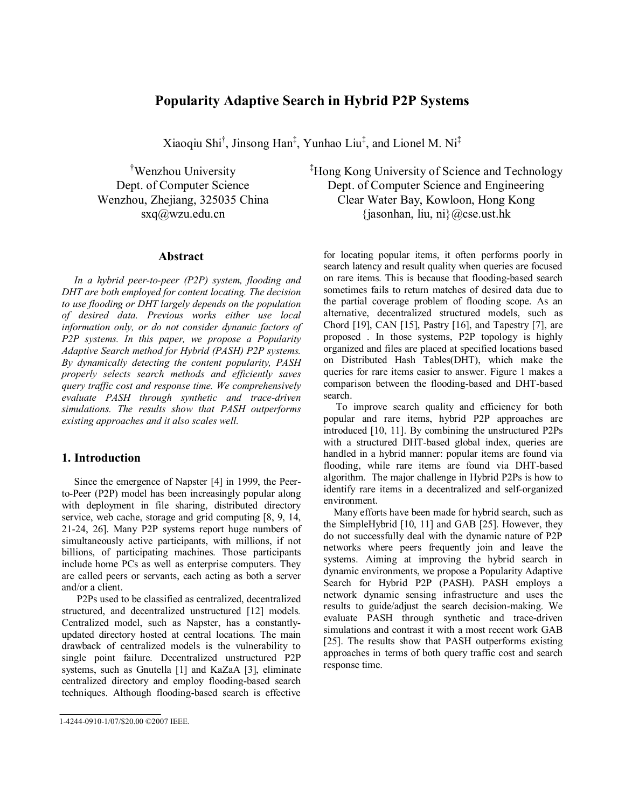# **Popularity Adaptive Search in Hybrid P2P Systems**

Xiaoqiu Shi† , Jinsong Han‡ , Yunhao Liu‡ , and Lionel M. Ni‡

† Wenzhou University Dept. of Computer Science Wenzhou, Zhejiang, 325035 China sxq@wzu.edu.cn

### **Abstract**

*In a hybrid peer-to-peer (P2P) system, flooding and DHT are both employed for content locating. The decision to use flooding or DHT largely depends on the population of desired data. Previous works either use local information only, or do not consider dynamic factors of P2P systems. In this paper, we propose a Popularity Adaptive Search method for Hybrid (PASH) P2P systems. By dynamically detecting the content popularity, PASH properly selects search methods and efficiently saves query traffic cost and response time. We comprehensively evaluate PASH through synthetic and trace-driven simulations. The results show that PASH outperforms existing approaches and it also scales well.* 

# **1. Introduction**

Since the emergence of Napster [4] in 1999, the Peerto-Peer (P2P) model has been increasingly popular along with deployment in file sharing, distributed directory service, web cache, storage and grid computing [8, 9, 14, 21-24, 26]. Many P2P systems report huge numbers of simultaneously active participants, with millions, if not billions, of participating machines. Those participants include home PCs as well as enterprise computers. They are called peers or servants, each acting as both a server and/or a client.

 P2Ps used to be classified as centralized, decentralized structured, and decentralized unstructured [12] models*.*  Centralized model, such as Napster, has a constantlyupdated directory hosted at central locations. The main drawback of centralized models is the vulnerability to single point failure. Decentralized unstructured P2P systems, such as Gnutella [1] and KaZaA [3], eliminate centralized directory and employ flooding-based search techniques. Although flooding-based search is effective ‡ Hong Kong University of Science and Technology Dept. of Computer Science and Engineering Clear Water Bay, Kowloon, Hong Kong  $\{\text{jasonhan}, \text{liu}, \text{ni}\}\$ @cse.ust.hk

for locating popular items, it often performs poorly in search latency and result quality when queries are focused on rare items. This is because that flooding-based search sometimes fails to return matches of desired data due to the partial coverage problem of flooding scope. As an alternative, decentralized structured models, such as Chord [19], CAN [15], Pastry [16], and Tapestry [7], are proposed . In those systems, P2P topology is highly organized and files are placed at specified locations based on Distributed Hash Tables(DHT), which make the queries for rare items easier to answer. Figure 1 makes a comparison between the flooding-based and DHT-based search.

To improve search quality and efficiency for both popular and rare items, hybrid P2P approaches are introduced [10, 11]. By combining the unstructured P2Ps with a structured DHT-based global index, queries are handled in a hybrid manner: popular items are found via flooding, while rare items are found via DHT-based algorithm. The major challenge in Hybrid P2Ps is how to identify rare items in a decentralized and self-organized environment.

Many efforts have been made for hybrid search, such as the SimpleHybrid [10, 11] and GAB [25]. However, they do not successfully deal with the dynamic nature of P2P networks where peers frequently join and leave the systems. Aiming at improving the hybrid search in dynamic environments, we propose a Popularity Adaptive Search for Hybrid P2P (PASH). PASH employs a network dynamic sensing infrastructure and uses the results to guide/adjust the search decision-making. We evaluate PASH through synthetic and trace-driven simulations and contrast it with a most recent work GAB [25]. The results show that PASH outperforms existing approaches in terms of both query traffic cost and search response time.

<sup>1-4244-0910-1/07/\$20.00 ©2007</sup> IEEE.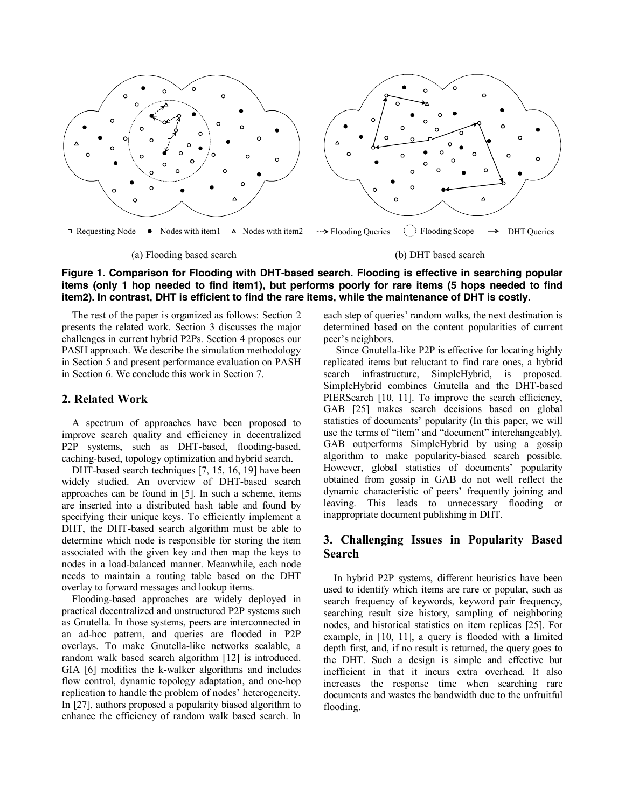

# **Figure 1. Comparison for Flooding with DHT-based search. Flooding is effective in searching popular items (only 1 hop needed to find item1), but performs poorly for rare items (5 hops needed to find item2). In contrast, DHT is efficient to find the rare items, while the maintenance of DHT is costly.**

The rest of the paper is organized as follows: Section 2 presents the related work. Section 3 discusses the major challenges in current hybrid P2Ps. Section 4 proposes our PASH approach. We describe the simulation methodology in Section 5 and present performance evaluation on PASH in Section 6. We conclude this work in Section 7.

# **2. Related Work**

A spectrum of approaches have been proposed to improve search quality and efficiency in decentralized P2P systems, such as DHT-based, flooding-based, caching-based, topology optimization and hybrid search.

DHT-based search techniques [7, 15, 16, 19] have been widely studied. An overview of DHT-based search approaches can be found in [5]. In such a scheme, items are inserted into a distributed hash table and found by specifying their unique keys. To efficiently implement a DHT, the DHT-based search algorithm must be able to determine which node is responsible for storing the item associated with the given key and then map the keys to nodes in a load-balanced manner. Meanwhile, each node needs to maintain a routing table based on the DHT overlay to forward messages and lookup items.

Flooding-based approaches are widely deployed in practical decentralized and unstructured P2P systems such as Gnutella. In those systems, peers are interconnected in an ad-hoc pattern, and queries are flooded in P2P overlays. To make Gnutella-like networks scalable, a random walk based search algorithm [12] is introduced. GIA [6] modifies the k-walker algorithms and includes flow control, dynamic topology adaptation, and one-hop replication to handle the problem of nodes' heterogeneity. In [27], authors proposed a popularity biased algorithm to enhance the efficiency of random walk based search. In

each step of queries' random walks, the next destination is determined based on the content popularities of current peer's neighbors.

Since Gnutella-like P2P is effective for locating highly replicated items but reluctant to find rare ones, a hybrid search infrastructure, SimpleHybrid, is proposed. SimpleHybrid combines Gnutella and the DHT-based PIERSearch [10, 11]. To improve the search efficiency, GAB [25] makes search decisions based on global statistics of documents' popularity (In this paper, we will use the terms of "item" and "document" interchangeably). GAB outperforms SimpleHybrid by using a gossip algorithm to make popularity-biased search possible. However, global statistics of documents' popularity obtained from gossip in GAB do not well reflect the dynamic characteristic of peers' frequently joining and leaving. This leads to unnecessary flooding or inappropriate document publishing in DHT.

# **3. Challenging Issues in Popularity Based Search**

In hybrid P2P systems, different heuristics have been used to identify which items are rare or popular, such as search frequency of keywords, keyword pair frequency, searching result size history, sampling of neighboring nodes, and historical statistics on item replicas [25]. For example, in [10, 11], a query is flooded with a limited depth first, and, if no result is returned, the query goes to the DHT. Such a design is simple and effective but inefficient in that it incurs extra overhead. It also increases the response time when searching rare documents and wastes the bandwidth due to the unfruitful flooding.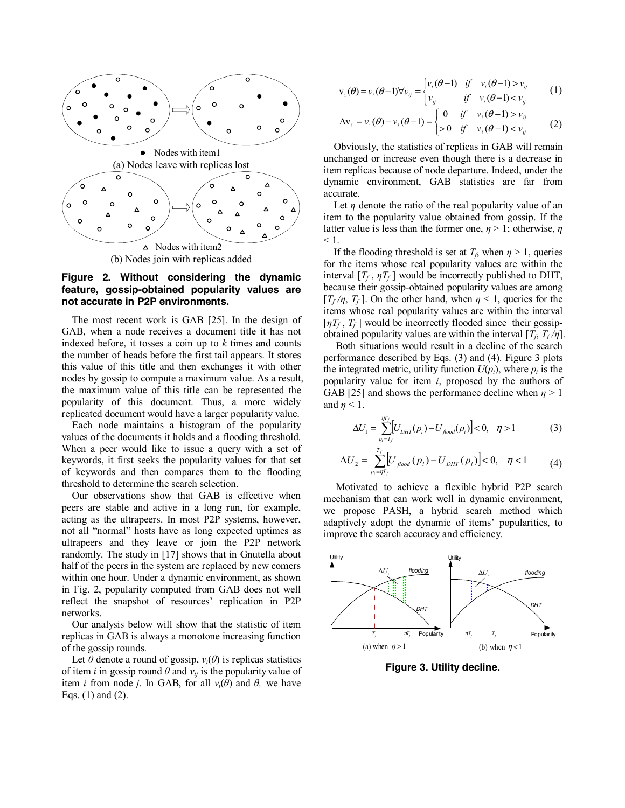

### **Figure 2. Without considering the dynamic feature, gossip-obtained popularity values are not accurate in P2P environments.**

The most recent work is GAB [25]. In the design of GAB, when a node receives a document title it has not indexed before, it tosses a coin up to *k* times and counts the number of heads before the first tail appears. It stores this value of this title and then exchanges it with other nodes by gossip to compute a maximum value. As a result, the maximum value of this title can be represented the popularity of this document. Thus, a more widely replicated document would have a larger popularity value.

Each node maintains a histogram of the popularity values of the documents it holds and a flooding threshold. When a peer would like to issue a query with a set of keywords, it first seeks the popularity values for that set of keywords and then compares them to the flooding threshold to determine the search selection.

Our observations show that GAB is effective when peers are stable and active in a long run, for example, acting as the ultrapeers. In most P2P systems, however, not all "normal" hosts have as long expected uptimes as ultrapeers and they leave or join the P2P network randomly. The study in [17] shows that in Gnutella about half of the peers in the system are replaced by new comers within one hour. Under a dynamic environment, as shown in Fig. 2, popularity computed from GAB does not well reflect the snapshot of resources' replication in P2P networks.

Our analysis below will show that the statistic of item replicas in GAB is always a monotone increasing function of the gossip rounds.

Let  $\theta$  denote a round of gossip,  $v_i(\theta)$  is replicas statistics of item *i* in gossip round  $\theta$  and  $v_{ii}$  is the popularity value of item *i* from node *j*. In GAB, for all  $v_i(\theta)$  and  $\theta$ , we have Eqs. (1) and (2).

$$
\mathbf{v}_{i}(\theta) = v_{i}(\theta - 1)\forall v_{ij} = \begin{cases} v_{i}(\theta - 1) & \text{if } v_{i}(\theta - 1) > v_{ij} \\ v_{ij} & \text{if } v_{i}(\theta - 1) < v_{ij} \end{cases} (1)
$$

$$
\Delta \mathbf{v}_i = v_i(\theta) - v_i(\theta - 1) = \begin{cases} 0 & \text{if } v_i(\theta - 1) > v_j \\ > 0 & \text{if } v_i(\theta - 1) < v_j \end{cases}
$$
 (2)

Obviously, the statistics of replicas in GAB will remain unchanged or increase even though there is a decrease in item replicas because of node departure. Indeed, under the dynamic environment, GAB statistics are far from accurate.

Let  $\eta$  denote the ratio of the real popularity value of an item to the popularity value obtained from gossip. If the latter value is less than the former one, *η* > 1; otherwise, *η*  $\leq 1$ .

If the flooding threshold is set at  $T_f$ , when  $\eta > 1$ , queries for the items whose real popularity values are within the interval  $[T_f, \eta T_f]$  would be incorrectly published to DHT, because their gossip-obtained popularity values are among  $[T_f/\eta, T_f]$ . On the other hand, when  $\eta < 1$ , queries for the items whose real popularity values are within the interval  $[\eta T_f, T_f]$  would be incorrectly flooded since their gossipobtained popularity values are within the interval  $[T_f, T_f/\eta]$ .

Both situations would result in a decline of the search performance described by Eqs. (3) and (4). Figure 3 plots the integrated metric, utility function  $U(p_i)$ , where  $p_i$  is the popularity value for item *i*, proposed by the authors of GAB [25] and shows the performance decline when  $\eta > 1$ and  $\eta$  < 1.

$$
\Delta U_1 = \sum_{p_i = T_f}^{\eta T_f} [U_{DHT}(p_i) - U_{flood}(p_i)] < 0, \quad \eta > 1
$$
 (3)

$$
\Delta U_2 = \sum_{p_i = \eta T_f}^{T_f} \left[ U_{\text{floor}}(p_i) - U_{\text{DHT}}(p_i) \right] < 0, \quad \eta < 1 \tag{4}
$$

Motivated to achieve a flexible hybrid P2P search mechanism that can work well in dynamic environment, we propose PASH, a hybrid search method which adaptively adopt the dynamic of items' popularities, to improve the search accuracy and efficiency.



**Figure 3. Utility decline.**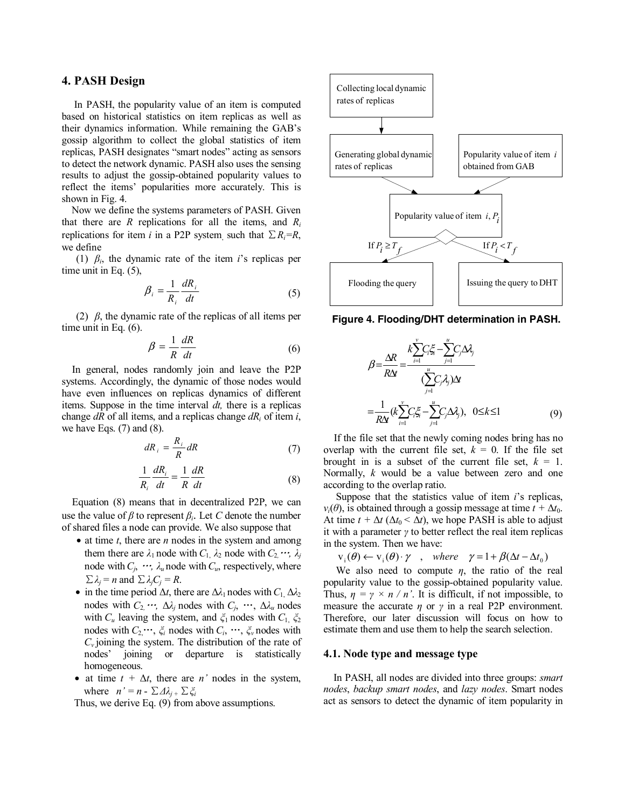# **4. PASH Design**

In PASH, the popularity value of an item is computed based on historical statistics on item replicas as well as their dynamics information. While remaining the GAB's gossip algorithm to collect the global statistics of item replicas, PASH designates "smart nodes" acting as sensors to detect the network dynamic. PASH also uses the sensing results to adjust the gossip-obtained popularity values to reflect the items' popularities more accurately. This is shown in Fig. 4.

Now we define the systems parameters of PASH. Given that there are *R* replications for all the items, and *Ri* replications for item *i* in a P2P system, such that  $\sum R_i = R$ , we define

(1) *βi*, the dynamic rate of the item *i*'s replicas per time unit in Eq. (5),

$$
\beta_i = \frac{1}{R_i} \frac{dR_i}{dt} \tag{5}
$$

(2) *β*, the dynamic rate of the replicas of all items per time unit in Eq. (6).

$$
\beta = \frac{1}{R} \frac{dR}{dt} \tag{6}
$$

In general, nodes randomly join and leave the P2P systems. Accordingly, the dynamic of those nodes would have even influences on replicas dynamics of different items. Suppose in the time interval *dt,* there is a replicas change *dR* of all items, and a replicas change *dRi* of item *i*, we have Eqs.  $(7)$  and  $(8)$ .

$$
dR_i = \frac{R_i}{R} dR \tag{7}
$$

$$
\frac{1}{R_i}\frac{dR_i}{dt} = \frac{1}{R}\frac{dR}{dt}
$$
 (8)

Equation (8) means that in decentralized P2P, we can use the value of  $\beta$  to represent  $\beta_i$ . Let *C* denote the number of shared files a node can provide. We also suppose that

- at time *t*, there are *n* nodes in the system and among them there are  $\lambda_1$  node with  $C_1$ ,  $\lambda_2$  node with  $C_2$ ,  $\cdots$ ,  $\lambda_j$ node with  $C_j$ ,  $\cdots$ ,  $\lambda_u$  node with  $C_u$ , respectively, where  $\sum \lambda_i = n$  and  $\sum \lambda_i C_i = R$ .
- in the time period  $\Delta t$ , there are  $\Delta \lambda_1$  nodes with  $C_1$ ,  $\Delta \lambda_2$ nodes with  $C_2$ ,…,  $\Delta \lambda_i$  nodes with  $C_i$ , …,  $\Delta \lambda_i$  nodes with  $C_u$  leaving the system, and  $\zeta_1$  nodes with  $C_1$ ,  $\zeta_2$ nodes with  $C_2, \dots, \xi_i$  nodes with  $C_i, \dots, \xi_v$  nodes with *Cv* joining the system. The distribution of the rate of nodes' joining or departure is statistically homogeneous.
- at time  $t + \Delta t$ , there are *n'* nodes in the system, where  $n' = n - \sum \Delta \lambda_i + \sum \xi_i$

Thus, we derive Eq. (9) from above assumptions.



**Figure 4. Flooding/DHT determination in PASH.** 

$$
\beta = \frac{\Delta R}{R\Delta t} = \frac{k \sum_{i=1}^{v} C_i \xi_i - \sum_{j=1}^{u} C_j \Delta \lambda_j}{\sum_{j=1}^{u} C_j \lambda_j \Delta t}
$$

$$
= \frac{1}{R\Delta t} (k \sum_{i=1}^{v} C_i \xi_i - \sum_{j=1}^{u} C_j \Delta \lambda_j), \quad 0 \le k \le 1
$$
(9)

If the file set that the newly coming nodes bring has no overlap with the current file set,  $k = 0$ . If the file set brought in is a subset of the current file set,  $k = 1$ . Normally, *k* would be a value between zero and one according to the overlap ratio.

Suppose that the statistics value of item *i*'s replicas, *v<sub>i</sub>*( $\theta$ ), is obtained through a gossip message at time  $t + \Delta t_0$ . At time  $t + \Delta t$  ( $\Delta t_0 < \Delta t$ ), we hope PASH is able to adjust it with a parameter *γ* to better reflect the real item replicas in the system. Then we have:

$$
v_i(\theta) \leftarrow v_i(\theta) \cdot \gamma \quad , \quad where \quad \gamma = 1 + \beta(\Delta t - \Delta t_0)
$$

We also need to compute  $\eta$ , the ratio of the real popularity value to the gossip-obtained popularity value. Thus,  $\eta = \gamma \times n / n'$ . It is difficult, if not impossible, to measure the accurate *η* or *γ* in a real P2P environment. Therefore, our later discussion will focus on how to estimate them and use them to help the search selection.

### **4.1. Node type and message type**

In PASH, all nodes are divided into three groups: *smart nodes*, *backup smart nodes*, and *lazy nodes*. Smart nodes act as sensors to detect the dynamic of item popularity in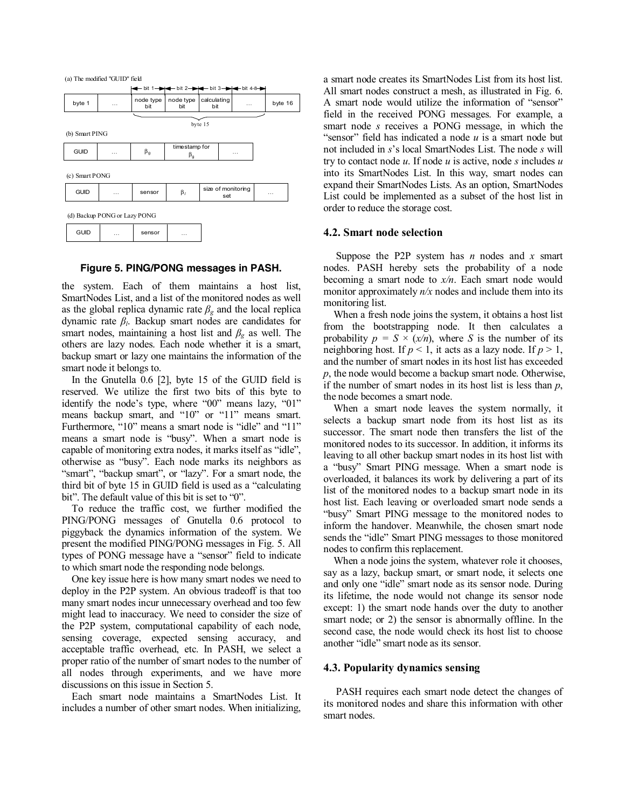

## **Figure 5. PING/PONG messages in PASH.**

the system. Each of them maintains a host list, SmartNodes List, and a list of the monitored nodes as well as the global replica dynamic rate  $\beta_g$  and the local replica dynamic rate *βl*. Backup smart nodes are candidates for smart nodes, maintaining a host list and  $\beta_g$  as well. The others are lazy nodes. Each node whether it is a smart, backup smart or lazy one maintains the information of the smart node it belongs to.

In the Gnutella 0.6 [2], byte 15 of the GUID field is reserved. We utilize the first two bits of this byte to identify the node's type, where "00" means lazy, "01" means backup smart, and "10" or "11" means smart. Furthermore, "10" means a smart node is "idle" and "11" means a smart node is "busy". When a smart node is capable of monitoring extra nodes, it marks itself as "idle", otherwise as "busy". Each node marks its neighbors as "smart", "backup smart", or "lazy". For a smart node, the third bit of byte 15 in GUID field is used as a "calculating bit". The default value of this bit is set to "0".

To reduce the traffic cost, we further modified the PING/PONG messages of Gnutella 0.6 protocol to piggyback the dynamics information of the system. We present the modified PING/PONG messages in Fig. 5. All types of PONG message have a "sensor" field to indicate to which smart node the responding node belongs.

One key issue here is how many smart nodes we need to deploy in the P2P system. An obvious tradeoff is that too many smart nodes incur unnecessary overhead and too few might lead to inaccuracy. We need to consider the size of the P2P system, computational capability of each node, sensing coverage, expected sensing accuracy, and acceptable traffic overhead, etc. In PASH, we select a proper ratio of the number of smart nodes to the number of all nodes through experiments, and we have more discussions on this issue in Section 5.

Each smart node maintains a SmartNodes List. It includes a number of other smart nodes. When initializing, a smart node creates its SmartNodes List from its host list. All smart nodes construct a mesh, as illustrated in Fig. 6. A smart node would utilize the information of "sensor" field in the received PONG messages. For example, a smart node *s* receives a PONG message, in which the "sensor" field has indicated a node *u* is a smart node but not included in *s*'s local SmartNodes List. The node *s* will try to contact node *u*. If node *u* is active, node *s* includes *u* into its SmartNodes List. In this way, smart nodes can expand their SmartNodes Lists. As an option, SmartNodes List could be implemented as a subset of the host list in order to reduce the storage cost.

### **4.2. Smart node selection**

Suppose the P2P system has *n* nodes and *x* smart nodes. PASH hereby sets the probability of a node becoming a smart node to *x/n*. Each smart node would monitor approximately *n/x* nodes and include them into its monitoring list.

When a fresh node joins the system, it obtains a host list from the bootstrapping node. It then calculates a probability  $p = S \times (x/n)$ , where *S* is the number of its neighboring host. If  $p < 1$ , it acts as a lazy node. If  $p > 1$ , and the number of smart nodes in its host list has exceeded *p*, the node would become a backup smart node. Otherwise, if the number of smart nodes in its host list is less than *p*, the node becomes a smart node.

When a smart node leaves the system normally, it selects a backup smart node from its host list as its successor. The smart node then transfers the list of the monitored nodes to its successor. In addition, it informs its leaving to all other backup smart nodes in its host list with a "busy" Smart PING message. When a smart node is overloaded, it balances its work by delivering a part of its list of the monitored nodes to a backup smart node in its host list. Each leaving or overloaded smart node sends a "busy" Smart PING message to the monitored nodes to inform the handover. Meanwhile, the chosen smart node sends the "idle" Smart PING messages to those monitored nodes to confirm this replacement.

When a node joins the system, whatever role it chooses, say as a lazy, backup smart, or smart node, it selects one and only one "idle" smart node as its sensor node. During its lifetime, the node would not change its sensor node except: 1) the smart node hands over the duty to another smart node; or 2) the sensor is abnormally offline. In the second case, the node would check its host list to choose another "idle" smart node as its sensor.

## **4.3. Popularity dynamics sensing**

PASH requires each smart node detect the changes of its monitored nodes and share this information with other smart nodes.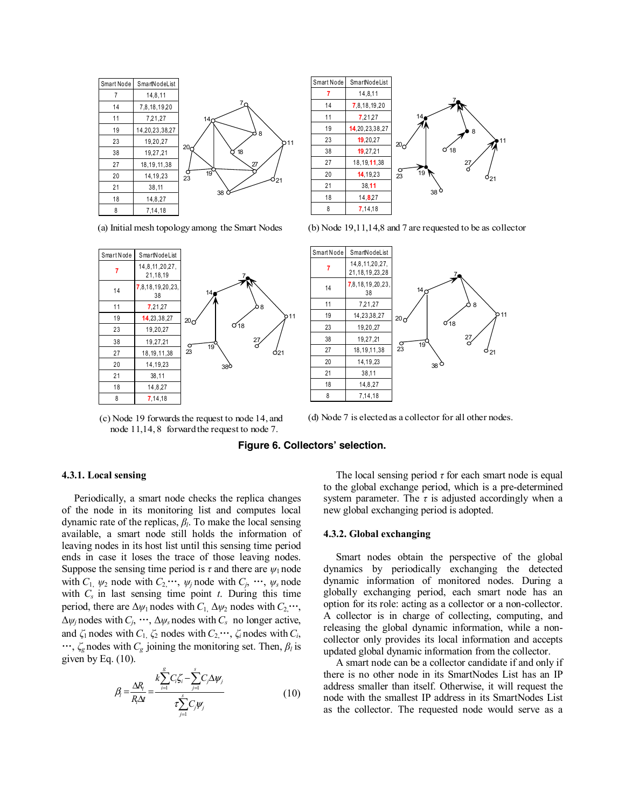

(a) Initial mesh topology among the Smart Nodes





(b) Node 19,11,14,8 and 7 are requested to be as collector



(c) Node 19 forwards the request to node 14, and node 11,14, 8 forward the request to node 7.

### (d) Node 7 is elected as a collector for all other nodes.

# **Figure 6. Collectors' selection.**

### **4.3.1. Local sensing**

Periodically, a smart node checks the replica changes of the node in its monitoring list and computes local dynamic rate of the replicas, *βl*. To make the local sensing available, a smart node still holds the information of leaving nodes in its host list until this sensing time period ends in case it loses the trace of those leaving nodes. Suppose the sensing time period is  $\tau$  and there are  $\psi_1$  node with  $C_1$ ,  $\psi_2$  node with  $C_2$ ,  $\dots$ ,  $\psi_j$  node with  $C_j$ ,  $\dots$ ,  $\psi_s$  node with  $C_s$  in last sensing time point  $t$ . During this time period, there are  $\Delta \psi_1$  nodes with  $C_1$ ,  $\Delta \psi_2$  nodes with  $C_2$ ...  $\Delta \psi_j$  nodes with  $C_j$ ,  $\cdots$ ,  $\Delta \psi_s$  nodes with  $C_s$  no longer active, and  $\zeta_1$  nodes with  $C_1$ ,  $\zeta_2$  nodes with  $C_2$ ,  $\cdots$ ,  $\zeta_i$  nodes with  $C_i$ ,  $\cdots$ ,  $\zeta_g$  nodes with  $C_g$  joining the monitoring set. Then,  $\beta_l$  is given by Eq. (10).

$$
\beta_i = \frac{\Delta R_i}{R_i \Delta t} = \frac{k \sum_{i=1}^{g} C_i \zeta_i - \sum_{j=1}^{s} C_j \Delta \psi_j}{\tau \sum_{j=1}^{s} C_j \psi_j}
$$
(10)

The local sensing period  $\tau$  for each smart node is equal to the global exchange period, which is a pre-determined system parameter. The  $\tau$  is adjusted accordingly when a new global exchanging period is adopted.

### **4.3.2. Global exchanging**

Smart nodes obtain the perspective of the global dynamics by periodically exchanging the detected dynamic information of monitored nodes. During a globally exchanging period, each smart node has an option for its role: acting as a collector or a non-collector. A collector is in charge of collecting, computing, and releasing the global dynamic information, while a noncollector only provides its local information and accepts updated global dynamic information from the collector.

A smart node can be a collector candidate if and only if there is no other node in its SmartNodes List has an IP address smaller than itself. Otherwise, it will request the node with the smallest IP address in its SmartNodes List as the collector. The requested node would serve as a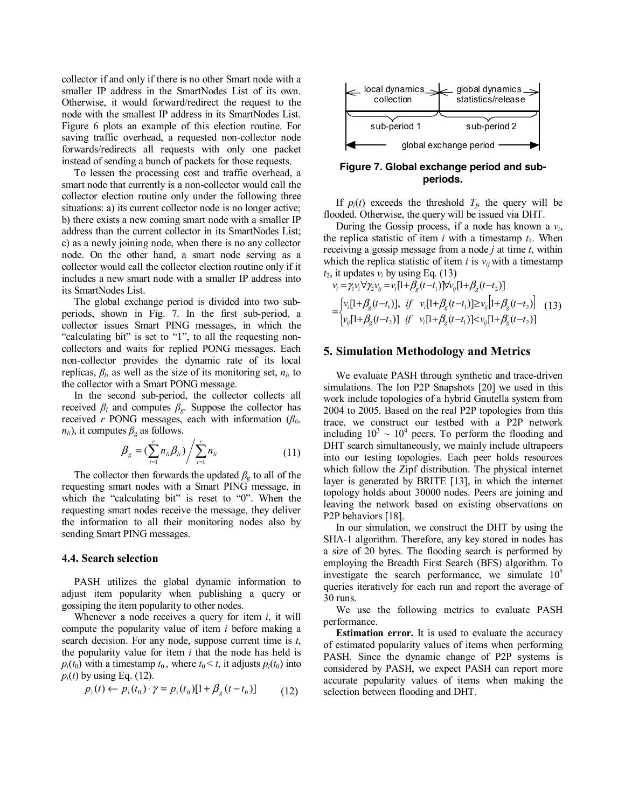collector if and only if there is no other Smart node with a smaller IP address in the SmartNodes List of its own. Otherwise, it would forward/redirect the request to the node with the smallest IP address in its SmartNodes List. Figure 6 plots an example of this election routine. For saving traffic overhead, a requested non-collector node forwards/redirects all requests with only one packet instead of sending a bunch of packets for those requests.

To lessen the processing cost and traffic overhead, a smart node that currently is a non-collector would call the collector election routine only under the following three situations: a) its current collector node is no longer active; b) there exists a new coming smart node with a smaller IP address than the current collector in its SmartNodes List; c) as a newly joining node, when there is no any collector node. On the other hand, a smart node serving as a collector would call the collector election routine only if it includes a new smart node with a smaller IP address into its SmartNodes List.

The global exchange period is divided into two subperiods, shown in Fig. 7. In the first sub-period, a collector issues Smart PING messages, in which the "calculating bit" is set to "1", to all the requesting noncollectors and waits for replied PONG messages. Each non-collector provides the dynamic rate of its local replicas,  $\beta_l$ , as well as the size of its monitoring set,  $n_l$ , to the collector with a Smart PONG message.

In the second sub-period, the collector collects all received  $\beta_l$  and computes  $\beta_g$ . Suppose the collector has received *r* PONG messages, each with information (*βli,*   $n_{li}$ ), it computes  $\beta_g$  as follows.

$$
\beta_{g} = (\sum_{i=1}^{r} n_{li} \beta_{li}) / \sum_{i=1}^{r} n_{li}
$$
\n(11)

The collector then forwards the updated  $\beta_g$  to all of the requesting smart nodes with a Smart PING message, in which the "calculating bit" is reset to "0". When the requesting smart nodes receive the message, they deliver the information to all their monitoring nodes also by sending Smart PING messages.

### **4.4. Search selection**

PASH utilizes the global dynamic information to adjust item popularity when publishing a query or gossiping the item popularity to other nodes.

Whenever a node receives a query for item *i*, it will compute the popularity value of item *i* before making a search decision. For any node, suppose current time is *t*, the popularity value for item *i* that the node has held is  $p_i(t_0)$  with a timestamp  $t_0$ , where  $t_0 \leq t$ , it adjusts  $p_i(t_0)$  into  $p_i(t)$  by using Eq. (12).

$$
p_{i}(t) \leftarrow p_{i}(t_{0}) \cdot \gamma = p_{i}(t_{0})[1 + \beta_{g}(t - t_{0})] \tag{12}
$$



**Figure 7. Global exchange period and subperiods.** 

If  $p_i(t)$  exceeds the threshold  $T_f$ , the query will be flooded. Otherwise, the query will be issued via DHT.

During the Gossip process, if a node has known a *vi*, the replica statistic of item *i* with a timestamp  $t_1$ . When receiving a gossip message from a node *j* at time *t*, within which the replica statistic of item *i* is  $v_{ij}$  with a timestamp  $t_2$ , it updates  $v_i$  by using Eq. (13)

$$
v_i = \gamma_i v_i \forall \gamma_2 v_{ij} = v_i [1 + \beta_g (t - t_1)] \forall v_{ij} [1 + \beta_g (t - t_2)]
$$
  
= 
$$
\begin{bmatrix} v_i [1 + \beta_g (t - t_1)], & if \quad v_i [1 + \beta_g (t - t_1)] \ge v_{ij} [1 + \beta_g (t - t_2)] \\ v_{ij} [1 + \beta_g (t - t_2)] & if \quad v_i [1 + \beta_g (t - t_1)] < v_{ij} [1 + \beta_g (t - t_2)] \end{bmatrix} (13)
$$

### **5. Simulation Methodology and Metrics**

We evaluate PASH through synthetic and trace-driven simulations. The Ion P2P Snapshots [20] we used in this work include topologies of a hybrid Gnutella system from 2004 to 2005. Based on the real P2P topologies from this trace, we construct our testbed with a P2P network including  $10^3 \sim 10^4$  peers. To perform the flooding and DHT search simultaneously, we mainly include ultrapeers into our testing topologies. Each peer holds resources which follow the Zipf distribution. The physical internet layer is generated by BRITE [13], in which the internet topology holds about 30000 nodes. Peers are joining and leaving the network based on existing observations on P2P behaviors [18].

In our simulation, we construct the DHT by using the SHA-1 algorithm. Therefore, any key stored in nodes has a size of 20 bytes. The flooding search is performed by employing the Breadth First Search (BFS) algorithm. To investigate the search performance, we simulate  $10<sup>5</sup>$ queries iteratively for each run and report the average of 30 runs.

We use the following metrics to evaluate PASH performance.

**Estimation error.** It is used to evaluate the accuracy of estimated popularity values of items when performing PASH. Since the dynamic change of P2P systems is considered by PASH, we expect PASH can report more accurate popularity values of items when making the selection between flooding and DHT.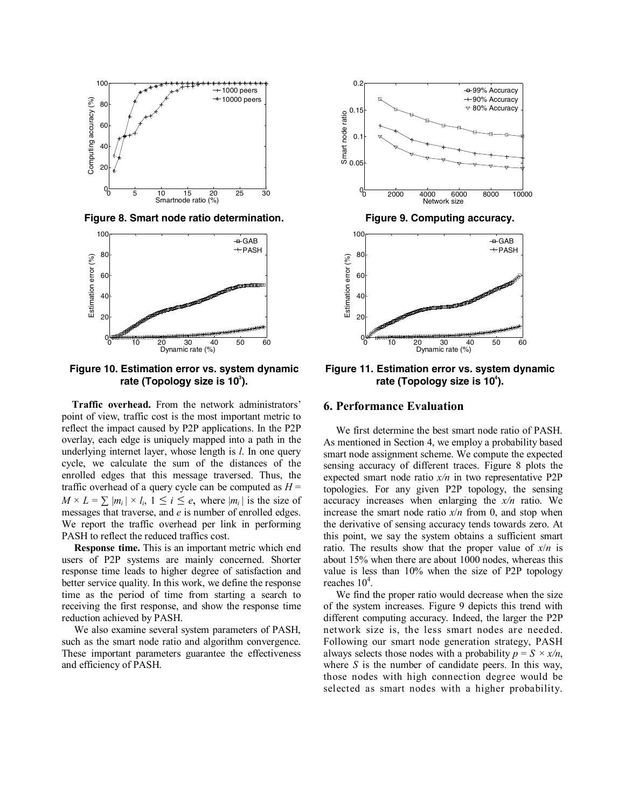

**Figure 8. Smart node ratio determination. Figure 9. Computing accuracy.** 



**Figure 10. Estimation error vs. system dynamic**  rate (Topology size is 10<sup>3</sup>).

**Traffic overhead.** From the network administrators' point of view, traffic cost is the most important metric to reflect the impact caused by P2P applications. In the P2P overlay, each edge is uniquely mapped into a path in the underlying internet layer, whose length is *l*. In one query cycle, we calculate the sum of the distances of the enrolled edges that this message traversed. Thus, the traffic overhead of a query cycle can be computed as *H* =  $M \times L = \sum |m_i| \times l_i$ ,  $1 \le i \le e$ , where  $|m_i|$  is the size of messages that traverse, and *e* is number of enrolled edges. We report the traffic overhead per link in performing PASH to reflect the reduced traffics cost.

**Response time.** This is an important metric which end users of P2P systems are mainly concerned. Shorter response time leads to higher degree of satisfaction and better service quality. In this work, we define the response time as the period of time from starting a search to receiving the first response, and show the response time reduction achieved by PASH.

We also examine several system parameters of PASH, such as the smart node ratio and algorithm convergence. These important parameters guarantee the effectiveness and efficiency of PASH.





**Figure 11. Estimation error vs. system dynamic**  rate (Topology size is 10<sup>4</sup>).

# **6. Performance Evaluation**

We first determine the best smart node ratio of PASH. As mentioned in Section 4, we employ a probability based smart node assignment scheme. We compute the expected sensing accuracy of different traces. Figure 8 plots the expected smart node ratio *x/n* in two representative P2P topologies. For any given P2P topology, the sensing accuracy increases when enlarging the *x/n* ratio. We increase the smart node ratio  $x/n$  from 0, and stop when the derivative of sensing accuracy tends towards zero. At this point, we say the system obtains a sufficient smart ratio. The results show that the proper value of *x*/*n* is about 15% when there are about 1000 nodes, whereas this value is less than 10% when the size of P2P topology reaches  $10^4$ .

We find the proper ratio would decrease when the size of the system increases. Figure 9 depicts this trend with different computing accuracy. Indeed, the larger the P2P network size is, the less smart nodes are needed. Following our smart node generation strategy, PASH always selects those nodes with a probability  $p = S \times x/n$ , where *S* is the number of candidate peers. In this way, those nodes with high connection degree would be selected as smart nodes with a higher probability.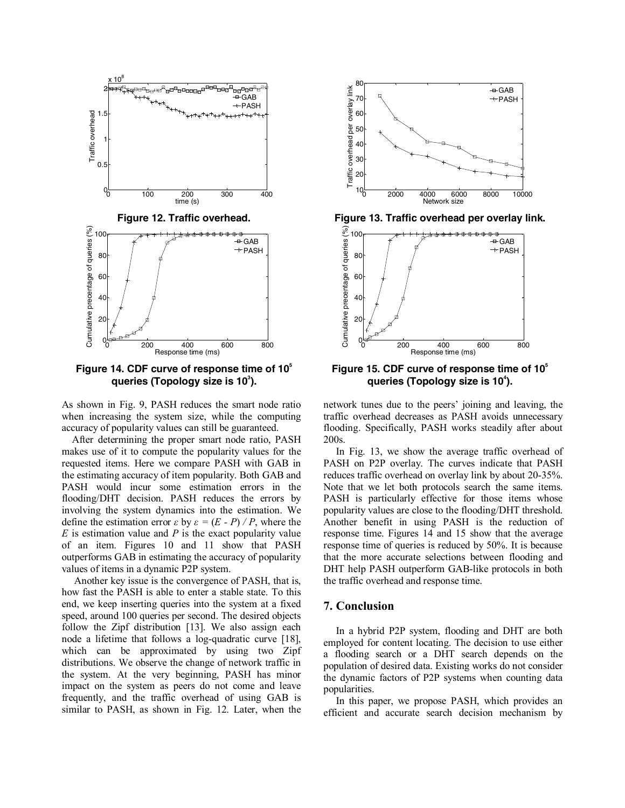

**Figure 14. CDF curve of response time of 105 queries (Topology size is 10** $^3$ **).** 

As shown in Fig. 9, PASH reduces the smart node ratio when increasing the system size, while the computing accuracy of popularity values can still be guaranteed.

After determining the proper smart node ratio, PASH makes use of it to compute the popularity values for the requested items. Here we compare PASH with GAB in the estimating accuracy of item popularity. Both GAB and PASH would incur some estimation errors in the flooding/DHT decision. PASH reduces the errors by involving the system dynamics into the estimation. We define the estimation error *ε* by  $\epsilon = (E - P)/P$ , where the *E* is estimation value and *P* is the exact popularity value of an item. Figures 10 and 11 show that PASH outperforms GAB in estimating the accuracy of popularity values of items in a dynamic P2P system.

Another key issue is the convergence of PASH, that is, how fast the PASH is able to enter a stable state. To this end, we keep inserting queries into the system at a fixed speed, around 100 queries per second. The desired objects follow the Zipf distribution [13]. We also assign each node a lifetime that follows a log-quadratic curve [18], which can be approximated by using two Zipf distributions. We observe the change of network traffic in the system. At the very beginning, PASH has minor impact on the system as peers do not come and leave frequently, and the traffic overhead of using GAB is similar to PASH, as shown in Fig. 12. Later, when the





**Figure 15. CDF curve of response time of 105 queries (Topology size is 10<sup>4</sup>).** 

network tunes due to the peers' joining and leaving, the traffic overhead decreases as PASH avoids unnecessary flooding. Specifically, PASH works steadily after about 200s.

In Fig. 13, we show the average traffic overhead of PASH on P2P overlay. The curves indicate that PASH reduces traffic overhead on overlay link by about 20-35%. Note that we let both protocols search the same items. PASH is particularly effective for those items whose popularity values are close to the flooding/DHT threshold. Another benefit in using PASH is the reduction of response time. Figures 14 and 15 show that the average response time of queries is reduced by 50%. It is because that the more accurate selections between flooding and DHT help PASH outperform GAB-like protocols in both the traffic overhead and response time.

## **7. Conclusion**

In a hybrid P2P system, flooding and DHT are both employed for content locating. The decision to use either a flooding search or a DHT search depends on the population of desired data. Existing works do not consider the dynamic factors of P2P systems when counting data popularities.

In this paper, we propose PASH, which provides an efficient and accurate search decision mechanism by